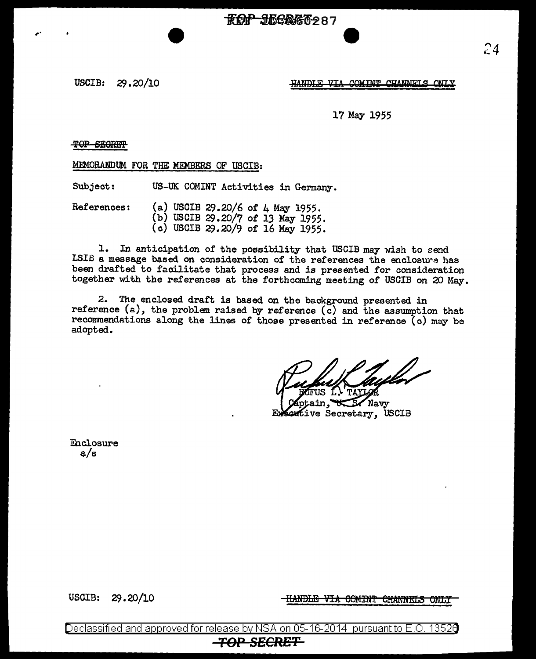**ROP JEGRET287** 

USCIB: 29.20/10

HANDLE VTA COMINT CHANNELS ONLY

17 May 1955

## T9P SB9REH'

,.

MEMORANDUM FOR THE MEMBERS OF USCIB:

Subject: US-UK COMINT Activities in Germany.

References: (a) USCIB 29.20/6 of 4 May 1955. (b) USCIB 29.20/7 of 13 May 1955. (c) USCIB 29.20/9 of 16 May 1955.

1. In anticipation of the possibility that USCIB may wish to send LSIB a message based on consideration of the references the enclosure has been drafted to facilitate that process and is presented for consideration together with the references at the forthcoming meeting of USCIB on 20 May.

2. The enclosed draft is based on the background presented in reference (a), the problem raised by reference ( $\bar{c}$ ) and the assumption that recommendations along the lines of those presented in reference (c) may be adopted.

Navv ive Secretary, USCIB

Enclosure a/s

USCIB: 29.20/10

HANDLE VIA COMINT CHANNELS ONLY

Declassified and approved for release by NSA on 05-16-2014 pursuant to E.O. 13526 **TOP SECRET**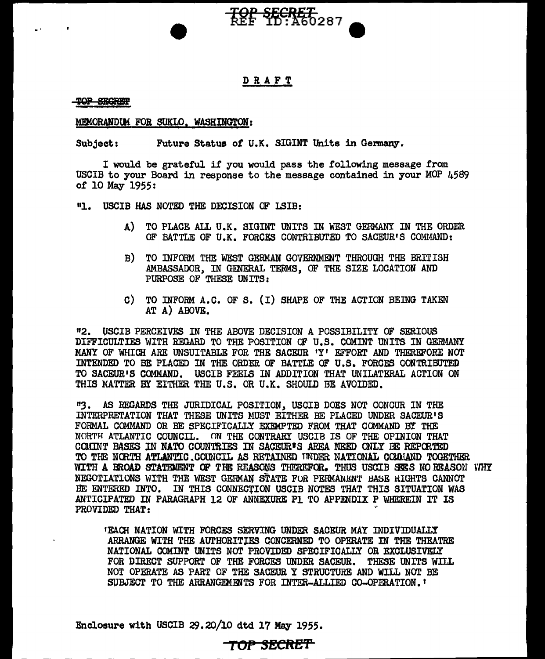

## DRAFT

TOP SEGREP

#### MEMORANDUM FOR SUKLO. WASHINGTON:

Subject: Future Status *ot* U.K. SIGINT Units in Germany.

I would be grateful if you would pass the following message from USCIB to your Board in response to the message contained in your MOP 4589 of 10 May 1955:

"1. USCIB HAS NOTED THE DECISION OF LSIB:

- A) TO PLACE ALL U.K. SIGINT UNITS IN WEST GERMANY IN THE ORDER OF BATTLE OF U.K. FORCES CONTRIBUTED TO SACEUR'S COMMAND:
- B) TO INFORM THE WEST GERMAN GOVERNMENT THROUGH THE BRITISH AMBASSADOR, IN GENERAL TERMS, OF THE SIZE LOCATION AND PURPOSE OF THESE UNITS:
- C) TO INFORM A.C. OF S. (I) SHAPE OF THE ACTION BEING TAKEN AT A) ABOVE.

"2. USCIB PERCEIVES IN THE ABOVE DECISION A POSSIBILITY OF SERIOUS DIFFICULTIES WITH REGARD TO THE POSITION OF U.S. COMINT UNITS IN GERMANY MANY OF WHICH ARE UNSUITABLE FOR THE SACEUR 1Y1 EFFORT AND THEREFORE NOT INTENDED TO BE PLACED IN THE ORDER OF BATrLE OF U.S. FORCFS CONTRIBUTED TO SACEUR'S COMMAND. USCIB FEELS IN ADDITION THAT UNILATERAL ACTION ON THIS MATTER BY EITHER THE U.S. OR U.K. SHOULD BE AVOIDED.

"3. AS REGARDS THE JURIDICAL POSITION, USCIB DOES NOT CONOUR IN THE INTERPRETATION THAT THESE UNITS MUST EITHER BE PLACED UNDER SACEUR1S FORMAL COMMAND OR BE SPECIFICALLY EXEMPTED FROM THAT COMMAND BY THE NORTH ATLANTIC COUNCIL. ON THE CONTRARY USCIB IS OF THE OPINION THAT COMINT BASES IN NATO COUN'mIES IN SAOEUR•S AREA NEED ONLY BE REPCRTED TO THE NORTH ATLANTIC COUNCIL AS RETAINED INDER NATIONAL COMMAND TOGETHER WITH A BROAD STATEMENT OF THE REASONS THEREFOR. THUS USCIB SEES NO REASON WHY NEGOTIATIONS WITH THE WEST GERMAN STATE FOR PERMANENT BASE RIGHTS CANNOT BE ENTERED INTO. IN THIS CONNEC'fION USCIB NOTES THAT THIS SITUATION WAS ANTICIPATED IN PARAGRAPH 12 OF ANNEXURE Pl TO APPENDIX P WHEREIN IT IS PROVIDED THAT:

•EACH NATION WITH FORCES SERVING UNDER SACEUR MAY INDIVIDUALLY ARRANGE WITH THE AUTHORITlES CONCERNED TO OPERATE IN THE THEATRE NATIONAL COMINT UNITS NOT PROVIDED SPECIFICALLY OR EXCLUSIVELY FOR DIRECT SUPPORT OF THE FORCES UNDER SACEUR. THESE UNITS WILL NOT OPERATE AS PART OF THE SACEUR Y STRUCTURE AND WILL NOT BE SUBJECT TO THE ARRANGEMENTS FOR INTER-ALLIED CO-OPERATION.'

Enclosure with USCIB 29.20/10 dtd 17 May 1955.

# TOP SECRE'f'